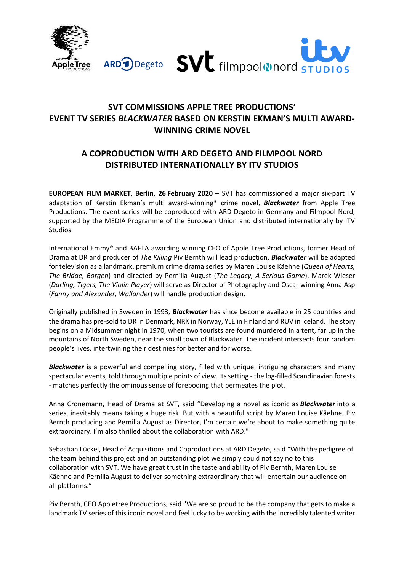



# **SVT COMMISSIONS APPLE TREE PRODUCTIONS' EVENT TV SERIES** *BLACKWATER* **BASED ON KERSTIN EKMAN'S MULTI AWARD-WINNING CRIME NOVEL**

# **A COPRODUCTION WITH ARD DEGETO AND FILMPOOL NORD DISTRIBUTED INTERNATIONALLY BY ITV STUDIOS**

**EUROPEAN FILM MARKET, Berlin, 26 February 2020** – SVT has commissioned a major six-part TV adaptation of Kerstin Ekman's multi award-winning\* crime novel, *Blackwater* from Apple Tree Productions. The event series will be coproduced with ARD Degeto in Germany and Filmpool Nord, supported by the MEDIA Programme of the European Union and distributed internationally by ITV Studios.

International Emmy® and BAFTA awarding winning CEO of Apple Tree Productions, former Head of Drama at DR and producer of *The Killing* Piv Bernth will lead production. *Blackwater* will be adapted for television as a landmark, premium crime drama series by Maren Louise Käehne (*Queen of Hearts, The Bridge, Borgen*) and directed by Pernilla August (*The Legacy, A Serious Game*). Marek Wieser (*Darling, Tigers, The Violin Player*) will serve as Director of Photography and Oscar winning Anna Asp (*Fanny and Alexander, Wallander*) will handle production design.

Originally published in Sweden in 1993, *Blackwater* has since become available in 25 countries and the drama has pre-sold to DR in Denmark, NRK in Norway, YLE in Finland and RUV in Iceland. The story begins on a Midsummer night in 1970, when two tourists are found murdered in a tent, far up in the mountains of North Sweden, near the small town of Blackwater. The incident intersects four random people's lives, intertwining their destinies for better and for worse.

*Blackwater* is a powerful and compelling story, filled with unique, intriguing characters and many spectacular events, told through multiple points of view. Its setting - the log-filled Scandinavian forests - matches perfectly the ominous sense of foreboding that permeates the plot.

Anna Cronemann, Head of Drama at SVT, said "Developing a novel as iconic as *Blackwater* into a series, inevitably means taking a huge risk. But with a beautiful script by Maren Louise Käehne, Piv Bernth producing and Pernilla August as Director, I'm certain we're about to make something quite extraordinary. I'm also thrilled about the collaboration with ARD."

Sebastian Lückel, Head of Acquisitions and Coproductions at ARD Degeto, said "With the pedigree of the team behind this project and an outstanding plot we simply could not say no to this collaboration with SVT. We have great trust in the taste and ability of Piv Bernth, Maren Louise Käehne and Pernilla August to deliver something extraordinary that will entertain our audience on all platforms."

Piv Bernth, CEO Appletree Productions, said "We are so proud to be the company that gets to make a landmark TV series of this iconic novel and feel lucky to be working with the incredibly talented writer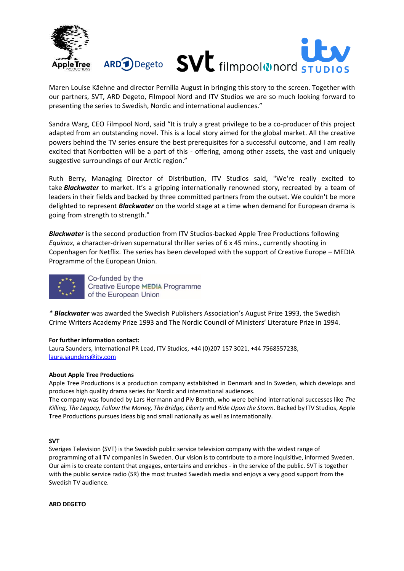

Maren Louise Käehne and director Pernilla August in bringing this story to the screen. Together with our partners, SVT, ARD Degeto, Filmpool Nord and ITV Studios we are so much looking forward to presenting the series to Swedish, Nordic and international audiences."

Sandra Warg, CEO Filmpool Nord, said "It is truly a great privilege to be a co-producer of this project adapted from an outstanding novel. This is a local story aimed for the global market. All the creative powers behind the TV series ensure the best prerequisites for a successful outcome, and I am really excited that Norrbotten will be a part of this - offering, among other assets, the vast and uniquely suggestive surroundings of our Arctic region."

Ruth Berry, Managing Director of Distribution, ITV Studios said, "We're really excited to take *Blackwater* to market. It's a gripping internationally renowned story, recreated by a team of leaders in their fields and backed by three committed partners from the outset. We couldn't be more delighted to represent *Blackwater* on the world stage at a time when demand for European drama is going from strength to strength."

*Blackwater* is the second production from ITV Studios-backed Apple Tree Productions following *Equinox,* a character-driven supernatural thriller series of 6 x 45 mins., currently shooting in Copenhagen for Netflix. The series has been developed with the support of Creative Europe – MEDIA Programme of the European Union.



*\* Blackwater* was awarded the Swedish Publishers Association's August Prize 1993, the Swedish Crime Writers Academy Prize 1993 and The Nordic Council of Ministers' Literature Prize in 1994.

### **For further information contact:**

Laura Saunders, International PR Lead, ITV Studios, +44 (0)207 157 3021, +44 7568557238, [laura.saunders@itv.com](mailto:laura.saunders@itv.com)

### **About Apple Tree Productions**

Apple Tree Productions is a production company established in Denmark and In Sweden, which develops and produces high quality drama series for Nordic and international audiences.

The company was founded by Lars Hermann and Piv Bernth, who were behind international successes like *The Killing, The Legacy, Follow the Money, The Bridge, Liberty* and *Ride Upon the Storm*. Backed by ITV Studios, Apple Tree Productions pursues ideas big and small nationally as well as internationally.

### **SVT**

Sveriges Television (SVT) is the Swedish public service television company with the widest range of programming of all TV companies in Sweden. Our vision is to contribute to a more inquisitive, informed Sweden. Our aim is to create content that engages, entertains and enriches - in the service of the public. SVT is together with the public service radio (SR) the most trusted Swedish media and enjoys a very good support from the Swedish TV audience.

**ARD DEGETO**